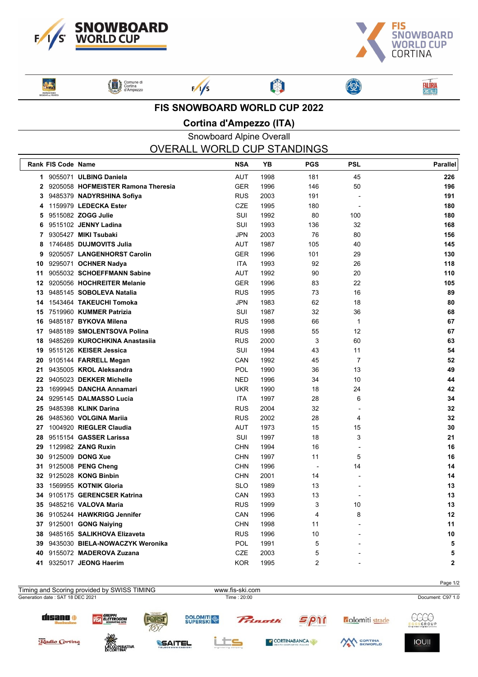



**FALÔRIA**<br>CRISTALLO

**Said PATROCINIO**<br>UGGIONE on VENE Comune di



 $\frac{1}{s}$ 

卿

## **FIS SNOWBOARD WORLD CUP 2022**

**Cortina d'Ampezzo (ITA)**

## Snowboard Alpine Overall OVERALL WORLD CUP STANDINGS

|    | <b>Rank FIS Code Name</b> |                                      | <b>NSA</b> | <b>YB</b> | <b>PGS</b>               | <b>PSL</b>     | Parallel    |
|----|---------------------------|--------------------------------------|------------|-----------|--------------------------|----------------|-------------|
|    |                           | 1 9055071 ULBING Daniela             | <b>AUT</b> | 1998      | 181                      | 45             | 226         |
|    |                           | 2 9205058 HOFMEISTER Ramona Theresia | <b>GER</b> | 1996      | 146                      | 50             | 196         |
|    |                           | 3 9485379 NADYRSHINA Sofiya          | <b>RUS</b> | 2003      | 191                      |                | 191         |
| 4  |                           | 1159979 LEDECKA Ester                | <b>CZE</b> | 1995      | 180                      |                | 180         |
| 5. |                           | 9515082 ZOGG Julie                   | <b>SUI</b> | 1992      | 80                       | 100            | 180         |
| 6  |                           | 9515102 JENNY Ladina                 | SUI        | 1993      | 136                      | 32             | 168         |
| 7  |                           | 9305427 MIKI Tsubaki                 | <b>JPN</b> | 2003      | 76                       | 80             | 156         |
| 8  |                           | 1746485 DUJMOVITS Julia              | <b>AUT</b> | 1987      | 105                      | 40             | 145         |
| 9  |                           | 9205057 LANGENHORST Carolin          | <b>GER</b> | 1996      | 101                      | 29             | 130         |
| 10 |                           | 9295071 OCHNER Nadya                 | <b>ITA</b> | 1993      | 92                       | 26             | 118         |
| 11 |                           | 9055032 SCHOEFFMANN Sabine           | <b>AUT</b> | 1992      | 90                       | 20             | 110         |
|    |                           | 12 9205056 HOCHREITER Melanie        | <b>GER</b> | 1996      | 83                       | 22             | 105         |
| 13 |                           | 9485145 SOBOLEVA Natalia             | <b>RUS</b> | 1995      | 73                       | 16             | 89          |
| 14 |                           | 1543464 TAKEUCHI Tomoka              | <b>JPN</b> | 1983      | 62                       | 18             | 80          |
|    |                           | 15 7519960 KUMMER Patrizia           | SUI        | 1987      | 32                       | 36             | 68          |
| 16 |                           | 9485187 <b>BYKOVA Milena</b>         | <b>RUS</b> | 1998      | 66                       | $\mathbf{1}$   | 67          |
| 17 |                           | 9485189 SMOLENTSOVA Polina           | <b>RUS</b> | 1998      | 55                       | 12             | 67          |
| 18 |                           | 9485269 KUROCHKINA Anastasija        | <b>RUS</b> | 2000      | 3                        | 60             | 63          |
| 19 |                           | 9515126 KEISER Jessica               | SUI        | 1994      | 43                       | 11             | 54          |
|    |                           | 20 9105144 FARRELL Megan             | CAN        | 1992      | 45                       | $\overline{7}$ | 52          |
| 21 |                           | 9435005 KROL Aleksandra              | <b>POL</b> | 1990      | 36                       | 13             | 49          |
|    |                           | 22 9405023 DEKKER Michelle           | <b>NED</b> | 1996      | 34                       | 10             | 44          |
|    |                           | 23 1699945 DANCHA Annamari           | <b>UKR</b> | 1990      | 18                       | 24             | 42          |
| 24 |                           | 9295145 DALMASSO Lucia               | <b>ITA</b> | 1997      | 28                       | 6              | 34          |
| 25 |                           | 9485398 KLINK Darina                 | <b>RUS</b> | 2004      | 32                       |                | 32          |
| 26 |                           | 9485360 VOLGINA Mariia               | <b>RUS</b> | 2002      | 28                       | 4              | 32          |
|    |                           | 27 1004920 RIEGLER Claudia           | <b>AUT</b> | 1973      | 15                       | 15             | 30          |
| 28 |                           | 9515154 GASSER Larissa               | SUI        | 1997      | 18                       | 3              | 21          |
| 29 |                           | 1129982 ZANG Ruxin                   | <b>CHN</b> | 1994      | 16                       |                | 16          |
|    |                           | 30 9125009 DONG Xue                  | <b>CHN</b> | 1997      | 11                       | 5              | 16          |
|    |                           | 31 9125008 PENG Cheng                | <b>CHN</b> | 1996      | $\overline{\phantom{a}}$ | 14             | 14          |
|    |                           | 32 9125028 KONG Binbin               | <b>CHN</b> | 2001      | 14                       |                | 14          |
| 33 |                           | 1569955 KOTNIK Gloria                | <b>SLO</b> | 1989      | 13                       |                | 13          |
|    |                           | 34 9105175 GERENCSER Katrina         | CAN        | 1993      | 13                       |                | 13          |
| 35 |                           | 9485216 VALOVA Maria                 | <b>RUS</b> | 1999      | 3                        | 10             | 13          |
|    |                           | 36 9105244 HAWKRIGG Jennifer         | CAN        | 1996      | 4                        | 8              | 12          |
|    |                           | 37 9125001 GONG Naiying              | <b>CHN</b> | 1998      | 11                       |                | 11          |
| 38 |                           | 9485165 SALIKHOVA Elizaveta          | <b>RUS</b> | 1996      | 10                       |                | 10          |
| 39 |                           | 9435030 BIELA-NOWACZYK Weronika      | <b>POL</b> | 1991      | 5                        |                | 5           |
| 40 |                           | 9155072 MADEROVA Zuzana              | <b>CZE</b> | 2003      | 5                        |                | 5           |
| 41 |                           | 9325017 JEONG Haerim                 | <b>KOR</b> | 1995      | $\overline{c}$           |                | $\mathbf 2$ |